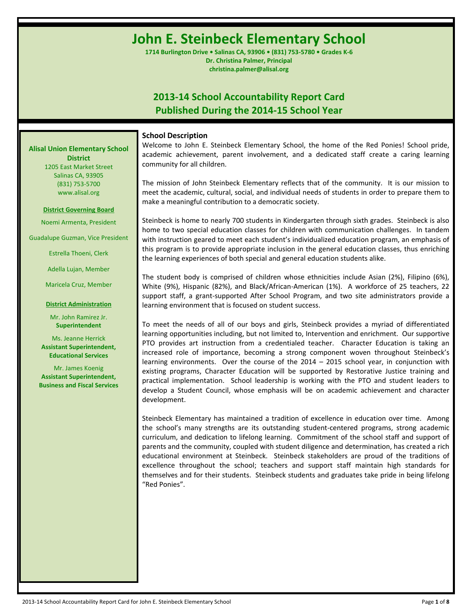# **John E. Steinbeck Elementary School**

**1714 Burlington Drive • Salinas CA, 93906 • (831) 753-5780 • Grades K-6 Dr. Christina Palmer, Principal christina.palmer@alisal.org**

# **2013-14 School Accountability Report Card Published During the 2014-15 School Year**

#### **School Description**

Welcome to John E. Steinbeck Elementary School, the home of the Red Ponies! School pride, academic achievement, parent involvement, and a dedicated staff create a caring learning community for all children.

The mission of John Steinbeck Elementary reflects that of the community. It is our mission to meet the academic, cultural, social, and individual needs of students in order to prepare them to make a meaningful contribution to a democratic society.

Steinbeck is home to nearly 700 students in Kindergarten through sixth grades. Steinbeck is also home to two special education classes for children with communication challenges. In tandem with instruction geared to meet each student's individualized education program, an emphasis of this program is to provide appropriate inclusion in the general education classes, thus enriching the learning experiences of both special and general education students alike.

The student body is comprised of children whose ethnicities include Asian (2%), Filipino (6%), White (9%), Hispanic (82%), and Black/African-American (1%). A workforce of 25 teachers, 22 support staff, a grant-supported After School Program, and two site administrators provide a learning environment that is focused on student success.

To meet the needs of all of our boys and girls, Steinbeck provides a myriad of differentiated learning opportunities including, but not limited to, Intervention and enrichment. Our supportive PTO provides art instruction from a credentialed teacher. Character Education is taking an increased role of importance, becoming a strong component woven throughout Steinbeck's learning environments. Over the course of the 2014 – 2015 school year, in conjunction with existing programs, Character Education will be supported by Restorative Justice training and practical implementation. School leadership is working with the PTO and student leaders to develop a Student Council, whose emphasis will be on academic achievement and character development.

Steinbeck Elementary has maintained a tradition of excellence in education over time. Among the school's many strengths are its outstanding student-centered programs, strong academic curriculum, and dedication to lifelong learning. Commitment of the school staff and support of parents and the community, coupled with student diligence and determination, has created a rich educational environment at Steinbeck. Steinbeck stakeholders are proud of the traditions of excellence throughout the school; teachers and support staff maintain high standards for themselves and for their students. Steinbeck students and graduates take pride in being lifelong "Red Ponies".

# **Alisal Union Elementary School District**

1205 East Market Street Salinas CA, 93905 (831) 753-5700 www.alisal.org

#### **District Governing Board**

Noemi Armenta, President

Guadalupe Guzman, Vice President

Estrella Thoeni, Clerk

Adella Lujan, Member

Maricela Cruz, Member

#### **District Administration**

Mr. John Ramirez Jr. **Superintendent**

Ms. Jeanne Herrick **Assistant Superintendent, Educational Services**

Mr. James Koenig **Assistant Superintendent, Business and Fiscal Services**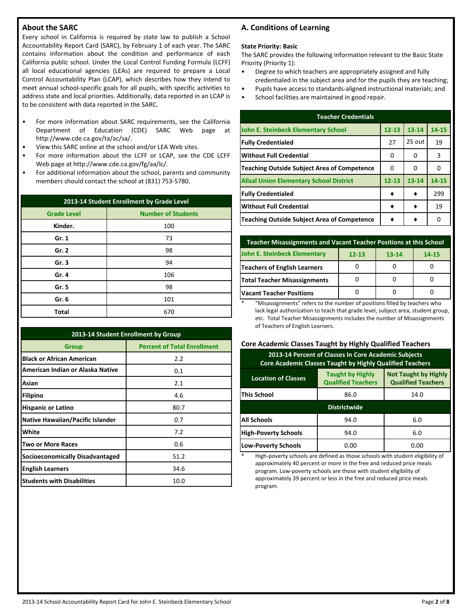# **About the SARC**

Every school in California is required by state law to publish a School Accountability Report Card (SARC), by February 1 of each year. The SARC contains information about the condition and performance of each California public school. Under the Local Control Funding Formula (LCFF) all local educational agencies (LEAs) are required to prepare a Local Control Accountability Plan (LCAP), which describes how they intend to meet annual school-specific goals for all pupils, with specific activities to address state and local priorities. Additionally, data reported in an LCAP is to be consistent with data reported in the SARC.

- For more information about SARC requirements, see the California Department of Education (CDE) SARC Web page at http://www.cde.ca.gov/ta/ac/sa/.
- View this SARC online at the school and/or LEA Web sites.
- For more information about the LCFF or LCAP, see the CDE LCFF Web page at http://www.cde.ca.gov/fg/aa/lc/.
- For additional information about the school, parents and community members should contact the school at (831) 753-5780.

| 2013-14 Student Enrollment by Grade Level |                           |  |  |  |  |
|-------------------------------------------|---------------------------|--|--|--|--|
| <b>Grade Level</b>                        | <b>Number of Students</b> |  |  |  |  |
| Kinder.                                   | 100                       |  |  |  |  |
| Gr. 1                                     | 73                        |  |  |  |  |
| Gr. 2                                     | 98                        |  |  |  |  |
| Gr.3                                      | 94                        |  |  |  |  |
| Gr. 4                                     | 106                       |  |  |  |  |
| Gr. 5                                     | 98                        |  |  |  |  |
| Gr. 6                                     | 101                       |  |  |  |  |
| <b>Total</b>                              | 670                       |  |  |  |  |

| 2013-14 Student Enrollment by Group         |      |  |  |  |  |  |
|---------------------------------------------|------|--|--|--|--|--|
| <b>Percent of Total Enrollment</b><br>Group |      |  |  |  |  |  |
| <b>Black or African American</b>            | 2.2  |  |  |  |  |  |
| American Indian or Alaska Native            | 0.1  |  |  |  |  |  |
| Asian                                       | 2.1  |  |  |  |  |  |
| <b>Filipino</b>                             | 4.6  |  |  |  |  |  |
| <b>Hispanic or Latino</b>                   | 80.7 |  |  |  |  |  |
| <b>Native Hawaiian/Pacific Islander</b>     | 0.7  |  |  |  |  |  |
| White                                       | 7.2  |  |  |  |  |  |
| <b>Two or More Races</b>                    | 0.6  |  |  |  |  |  |
| <b>Socioeconomically Disadvantaged</b>      | 51.2 |  |  |  |  |  |
| <b>English Learners</b>                     | 34.6 |  |  |  |  |  |
| <b>Students with Disabilities</b>           | 10.0 |  |  |  |  |  |

# **A. Conditions of Learning**

#### **State Priority: Basic**

The SARC provides the following information relevant to the Basic State Priority (Priority 1):

- Degree to which teachers are appropriately assigned and fully credentialed in the subject area and for the pupils they are teaching;
- Pupils have access to standards-aligned instructional materials; and
- School facilities are maintained in good repair.

| <b>Teacher Credentials</b>                         |           |           |       |  |  |  |  |
|----------------------------------------------------|-----------|-----------|-------|--|--|--|--|
| John E. Steinbeck Elementary School                | $12 - 13$ | $13 - 14$ | 14-15 |  |  |  |  |
| <b>Fully Credentialed</b>                          | 27        | 25 out    | 19    |  |  |  |  |
| <b>Without Full Credential</b>                     | 0         | 0         | 3     |  |  |  |  |
| <b>Teaching Outside Subject Area of Competence</b> | 0         | 0         | 0     |  |  |  |  |
| <b>Alisal Union Elementary School District</b>     | $12 - 13$ | $13 - 14$ | 14-15 |  |  |  |  |
| <b>Fully Credentialed</b>                          |           |           | 299   |  |  |  |  |
| <b>Without Full Credential</b>                     |           |           | 19    |  |  |  |  |
| Teaching Outside Subject Area of Competence        |           |           | 0     |  |  |  |  |

| <b>Teacher Misassignments and Vacant Teacher Positions at this School</b> |           |           |       |  |  |  |  |
|---------------------------------------------------------------------------|-----------|-----------|-------|--|--|--|--|
| John E. Steinbeck Elementary                                              | $12 - 13$ | $13 - 14$ | 14-15 |  |  |  |  |
| <b>Teachers of English Learners</b>                                       |           |           |       |  |  |  |  |
| <b>Total Teacher Misassignments</b>                                       |           |           |       |  |  |  |  |
| <b>Vacant Teacher Positions</b>                                           |           |           |       |  |  |  |  |

\* "Misassignments" refers to the number of positions filled by teachers who lack legal authorization to teach that grade level, subject area, student group, etc. Total Teacher Misassignments includes the number of Misassignments of Teachers of English Learners.

#### **Core Academic Classes Taught by Highly Qualified Teachers**

| 2013-14 Percent of Classes In Core Academic Subjects<br>Core Academic Classes Taught by Highly Qualified Teachers                              |                     |      |  |  |  |  |  |
|------------------------------------------------------------------------------------------------------------------------------------------------|---------------------|------|--|--|--|--|--|
| <b>Not Taught by Highly</b><br><b>Taught by Highly</b><br><b>Location of Classes</b><br><b>Qualified Teachers</b><br><b>Qualified Teachers</b> |                     |      |  |  |  |  |  |
| <b>This School</b><br>86.0<br>14.0                                                                                                             |                     |      |  |  |  |  |  |
|                                                                                                                                                | <b>Districtwide</b> |      |  |  |  |  |  |
| <b>All Schools</b>                                                                                                                             | 94.0<br>6.0         |      |  |  |  |  |  |
| <b>High-Poverty Schools</b><br>6.0<br>94.0                                                                                                     |                     |      |  |  |  |  |  |
| <b>Low-Poverty Schools</b>                                                                                                                     | 0.00                | 0.00 |  |  |  |  |  |

High-poverty schools are defined as those schools with student eligibility of approximately 40 percent or more in the free and reduced price meals program. Low-poverty schools are those with student eligibility of approximately 39 percent or less in the free and reduced price meals program.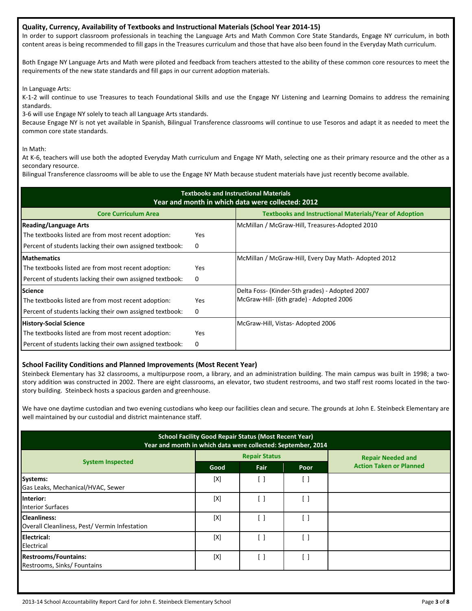#### **Quality, Currency, Availability of Textbooks and Instructional Materials (School Year 2014-15)**

In order to support classroom professionals in teaching the Language Arts and Math Common Core State Standards, Engage NY curriculum, in both content areas is being recommended to fill gaps in the Treasures curriculum and those that have also been found in the Everyday Math curriculum.

Both Engage NY Language Arts and Math were piloted and feedback from teachers attested to the ability of these common core resources to meet the requirements of the new state standards and fill gaps in our current adoption materials.

In Language Arts:

K-1-2 will continue to use Treasures to teach Foundational Skills and use the Engage NY Listening and Learning Domains to address the remaining standards.

3-6 will use Engage NY solely to teach all Language Arts standards.

Because Engage NY is not yet available in Spanish, Bilingual Transference classrooms will continue to use Tesoros and adapt it as needed to meet the common core state standards.

In Math:

At K-6, teachers will use both the adopted Everyday Math curriculum and Engage NY Math, selecting one as their primary resource and the other as a secondary resource.

Bilingual Transference classrooms will be able to use the Engage NY Math because student materials have just recently become available.

| <b>Textbooks and Instructional Materials</b><br>Year and month in which data were collected: 2012 |                                                               |                                                     |  |  |  |  |  |
|---------------------------------------------------------------------------------------------------|---------------------------------------------------------------|-----------------------------------------------------|--|--|--|--|--|
| <b>Core Curriculum Area</b>                                                                       | <b>Textbooks and Instructional Materials/Year of Adoption</b> |                                                     |  |  |  |  |  |
| <b>Reading/Language Arts</b>                                                                      |                                                               | McMillan / McGraw-Hill, Treasures-Adopted 2010      |  |  |  |  |  |
| The textbooks listed are from most recent adoption:                                               | <b>Yes</b>                                                    |                                                     |  |  |  |  |  |
| Percent of students lacking their own assigned textbook:                                          | 0                                                             |                                                     |  |  |  |  |  |
| <b>Mathematics</b>                                                                                |                                                               | McMillan / McGraw-Hill, Every Day Math-Adopted 2012 |  |  |  |  |  |
| The textbooks listed are from most recent adoption:                                               | <b>Yes</b>                                                    |                                                     |  |  |  |  |  |
| Percent of students lacking their own assigned textbook:                                          | 0                                                             |                                                     |  |  |  |  |  |
| <b>Science</b>                                                                                    |                                                               | Delta Foss- (Kinder-5th grades) - Adopted 2007      |  |  |  |  |  |
| The textbooks listed are from most recent adoption:                                               | <b>Yes</b>                                                    | McGraw-Hill- (6th grade) - Adopted 2006             |  |  |  |  |  |
| Percent of students lacking their own assigned textbook:                                          | 0                                                             |                                                     |  |  |  |  |  |
| <b>History-Social Science</b>                                                                     |                                                               | McGraw-Hill, Vistas-Adopted 2006                    |  |  |  |  |  |
| The textbooks listed are from most recent adoption:                                               | <b>Yes</b>                                                    |                                                     |  |  |  |  |  |
| Percent of students lacking their own assigned textbook:                                          | 0                                                             |                                                     |  |  |  |  |  |

#### **School Facility Conditions and Planned Improvements (Most Recent Year)**

Steinbeck Elementary has 32 classrooms, a multipurpose room, a library, and an administration building. The main campus was built in 1998; a twostory addition was constructed in 2002. There are eight classrooms, an elevator, two student restrooms, and two staff rest rooms located in the twostory building. Steinbeck hosts a spacious garden and greenhouse.

We have one daytime custodian and two evening custodians who keep our facilities clean and secure. The grounds at John E. Steinbeck Elementary are well maintained by our custodial and district maintenance staff.

| <b>School Facility Good Repair Status (Most Recent Year)</b><br>Year and month in which data were collected: September, 2014 |      |                      |      |                                |  |  |
|------------------------------------------------------------------------------------------------------------------------------|------|----------------------|------|--------------------------------|--|--|
|                                                                                                                              |      | <b>Repair Status</b> |      | <b>Repair Needed and</b>       |  |  |
| <b>System Inspected</b>                                                                                                      | Good | Fair                 | Poor | <b>Action Taken or Planned</b> |  |  |
| <b>Systems:</b><br>Gas Leaks, Mechanical/HVAC, Sewer                                                                         | [X]  |                      | []   |                                |  |  |
| Interior:<br><b>Interior Surfaces</b>                                                                                        | [X]  |                      | [ ]  |                                |  |  |
| <b>Cleanliness:</b><br>Overall Cleanliness, Pest/ Vermin Infestation                                                         | [X]  |                      | [ ]  |                                |  |  |
| <b>Electrical:</b><br>Electrical                                                                                             | [X]  |                      | [ ]  |                                |  |  |
| <b>Restrooms/Fountains:</b><br>Restrooms, Sinks/ Fountains                                                                   | [X]  | - 1                  | [ ]  |                                |  |  |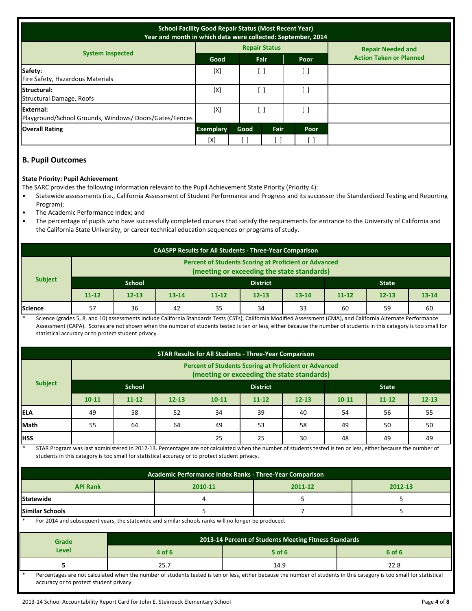| <b>School Facility Good Repair Status (Most Recent Year)</b><br>Year and month in which data were collected: September, 2014 |                  |      |                      |      |                                |
|------------------------------------------------------------------------------------------------------------------------------|------------------|------|----------------------|------|--------------------------------|
|                                                                                                                              |                  |      | <b>Repair Status</b> |      | <b>Repair Needed and</b>       |
| <b>System Inspected</b>                                                                                                      | Good             |      | Fair                 | Poor | <b>Action Taken or Planned</b> |
| Safety:<br>Fire Safety, Hazardous Materials                                                                                  | [X]              |      |                      | . 1  |                                |
| Structural:<br>Structural Damage, Roofs                                                                                      | [X]              |      |                      | . 1  |                                |
| External:<br>Playground/School Grounds, Windows/Doors/Gates/Fences                                                           | [X]              |      |                      | ำ 1  |                                |
| <b>Overall Rating</b>                                                                                                        | <b>Exemplary</b> | Good | <b>Fair</b>          | Poor |                                |
|                                                                                                                              | [X]              |      |                      |      |                                |

# **B. Pupil Outcomes**

#### **State Priority: Pupil Achievement**

The SARC provides the following information relevant to the Pupil Achievement State Priority (Priority 4):

- Statewide assessments (i.e., California Assessment of Student Performance and Progress and its successor the Standardized Testing and Reporting Program);
- The Academic Performance Index; and
- The percentage of pupils who have successfully completed courses that satisfy the requirements for entrance to the University of California and the California State University, or career technical education sequences or programs of study.

| <b>CAASPP Results for All Students - Three-Year Comparison</b>                                             |                                                  |           |           |           |           |           |           |           |           |
|------------------------------------------------------------------------------------------------------------|--------------------------------------------------|-----------|-----------|-----------|-----------|-----------|-----------|-----------|-----------|
| <b>Percent of Students Scoring at Proficient or Advanced</b><br>(meeting or exceeding the state standards) |                                                  |           |           |           |           |           |           |           |           |
| <b>Subject</b>                                                                                             | <b>School</b><br><b>District</b><br><b>State</b> |           |           |           |           |           |           |           |           |
|                                                                                                            | $11 - 12$                                        | $12 - 13$ | $13 - 14$ | $11 - 12$ | $12 - 13$ | $13 - 14$ | $11 - 12$ | $12 - 13$ | $13 - 14$ |
| Science                                                                                                    | 57                                               | 36        | 42        | 35        | 34        | 33        | 60        | 59        | 60        |

Science (grades 5, 8, and 10) assessments include California Standards Tests (CSTs), California Modified Assessment (CMA), and California Alternate Performance Assessment (CAPA). Scores are not shown when the number of students tested is ten or less, either because the number of students in this category is too small for statistical accuracy or to protect student privacy.

| <b>STAR Results for All Students - Three-Year Comparison</b> |                                                                                                            |           |           |           |           |           |           |           |           |
|--------------------------------------------------------------|------------------------------------------------------------------------------------------------------------|-----------|-----------|-----------|-----------|-----------|-----------|-----------|-----------|
|                                                              | <b>Percent of Students Scoring at Proficient or Advanced</b><br>(meeting or exceeding the state standards) |           |           |           |           |           |           |           |           |
| <b>Subject</b>                                               | <b>School</b><br><b>District</b><br><b>State</b>                                                           |           |           |           |           |           |           |           |           |
|                                                              | $10 - 11$                                                                                                  | $11 - 12$ | $12 - 13$ | $10 - 11$ | $11 - 12$ | $12 - 13$ | $10 - 11$ | $11 - 12$ | $12 - 13$ |
| <b>IELA</b>                                                  | 49                                                                                                         | 58        | 52        | 34        | 39        | 40        | 54        | 56        | 55        |
| Math                                                         | 55                                                                                                         | 64        | 64        | 49        | 53        | 58        | 49        | 50        | 50        |
| <b>HSS</b>                                                   |                                                                                                            |           |           | 25        | 25        | 30        | 48        | 49        | 49        |

STAR Program was last administered in 2012-13. Percentages are not calculated when the number of students tested is ten or less, either because the number of students in this category is too small for statistical accuracy or to protect student privacy.

| Academic Performance Index Ranks - Three-Year Comparison |  |  |  |  |  |  |
|----------------------------------------------------------|--|--|--|--|--|--|
| <b>API Rank</b><br>2012-13<br>2010-11<br>2011-12         |  |  |  |  |  |  |
| <b>Statewide</b>                                         |  |  |  |  |  |  |
| <b>Similar Schools</b>                                   |  |  |  |  |  |  |
|                                                          |  |  |  |  |  |  |

For 2014 and subsequent years, the statewide and similar schools ranks will no longer be produced.

| <b>Grade</b>                                                                                                                                                         | 2013-14 Percent of Students Meeting Fitness Standards |          |        |  |  |  |
|----------------------------------------------------------------------------------------------------------------------------------------------------------------------|-------------------------------------------------------|----------|--------|--|--|--|
| Level                                                                                                                                                                | 4 of 6                                                | $5$ of 6 | 6 of 6 |  |  |  |
|                                                                                                                                                                      |                                                       | 14.9     | 22.8   |  |  |  |
| Dercentages are not calculated when the number of students tested is ten or less either because the number of students in this category is too small for statistical |                                                       |          |        |  |  |  |

\* Percentages are not calculated when the number of students tested is ten or less, either because the number of students in this category is too small for statistical accuracy or to protect student privacy.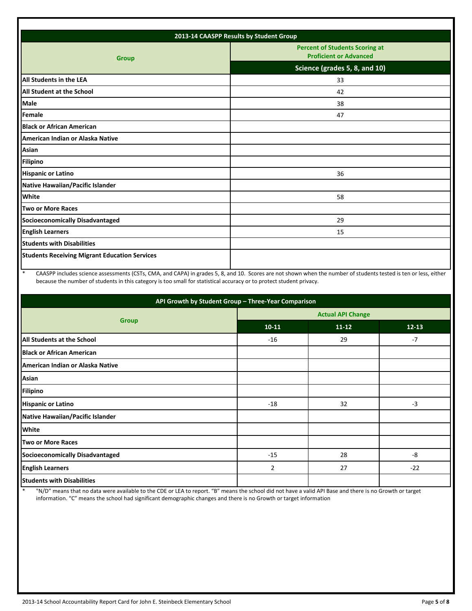| 2013-14 CAASPP Results by Student Group              |                                                                        |  |  |  |
|------------------------------------------------------|------------------------------------------------------------------------|--|--|--|
| <b>Group</b>                                         | <b>Percent of Students Scoring at</b><br><b>Proficient or Advanced</b> |  |  |  |
|                                                      | Science (grades 5, 8, and 10)                                          |  |  |  |
| All Students in the LEA                              | 33                                                                     |  |  |  |
| All Student at the School                            | 42                                                                     |  |  |  |
| Male                                                 | 38                                                                     |  |  |  |
| Female                                               | 47                                                                     |  |  |  |
| <b>Black or African American</b>                     |                                                                        |  |  |  |
| American Indian or Alaska Native                     |                                                                        |  |  |  |
| Asian                                                |                                                                        |  |  |  |
| <b>Filipino</b>                                      |                                                                        |  |  |  |
| <b>Hispanic or Latino</b>                            | 36                                                                     |  |  |  |
| Native Hawaiian/Pacific Islander                     |                                                                        |  |  |  |
| <b>White</b>                                         | 58                                                                     |  |  |  |
| Two or More Races                                    |                                                                        |  |  |  |
| <b>Socioeconomically Disadvantaged</b>               | 29                                                                     |  |  |  |
| <b>English Learners</b>                              | 15                                                                     |  |  |  |
| <b>Students with Disabilities</b>                    |                                                                        |  |  |  |
| <b>Students Receiving Migrant Education Services</b> |                                                                        |  |  |  |
|                                                      |                                                                        |  |  |  |

\* CAASPP includes science assessments (CSTs, CMA, and CAPA) in grades 5, 8, and 10. Scores are not shown when the number of students tested is ten or less, either because the number of students in this category is too small for statistical accuracy or to protect student privacy.

| API Growth by Student Group - Three-Year Comparison |                          |           |           |  |  |  |
|-----------------------------------------------------|--------------------------|-----------|-----------|--|--|--|
|                                                     | <b>Actual API Change</b> |           |           |  |  |  |
| <b>Group</b>                                        | $10 - 11$                | $11 - 12$ | $12 - 13$ |  |  |  |
| All Students at the School                          | $-16$                    | 29        | $-7$      |  |  |  |
| <b>Black or African American</b>                    |                          |           |           |  |  |  |
| American Indian or Alaska Native                    |                          |           |           |  |  |  |
| Asian                                               |                          |           |           |  |  |  |
| <b>Filipino</b>                                     |                          |           |           |  |  |  |
| <b>Hispanic or Latino</b>                           | $-18$                    | 32        | $-3$      |  |  |  |
| Native Hawaiian/Pacific Islander                    |                          |           |           |  |  |  |
| <b>White</b>                                        |                          |           |           |  |  |  |
| <b>Two or More Races</b>                            |                          |           |           |  |  |  |
| Socioeconomically Disadvantaged                     | $-15$                    | 28        | -8        |  |  |  |
| <b>English Learners</b>                             | $\overline{2}$           | 27        | $-22$     |  |  |  |
| <b>Students with Disabilities</b>                   |                          |           |           |  |  |  |

\* "N/D" means that no data were available to the CDE or LEA to report. "B" means the school did not have a valid API Base and there is no Growth or target information. "C" means the school had significant demographic changes and there is no Growth or target information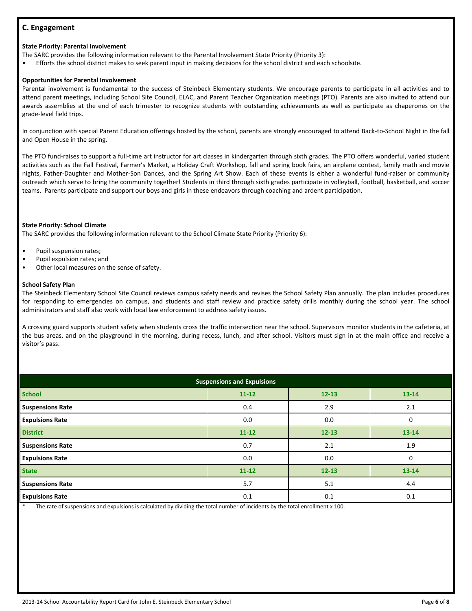# **C. Engagement**

## **State Priority: Parental Involvement**

The SARC provides the following information relevant to the Parental Involvement State Priority (Priority 3):

• Efforts the school district makes to seek parent input in making decisions for the school district and each schoolsite.

# **Opportunities for Parental Involvement**

Parental involvement is fundamental to the success of Steinbeck Elementary students. We encourage parents to participate in all activities and to attend parent meetings, including School Site Council, ELAC, and Parent Teacher Organization meetings (PTO). Parents are also invited to attend our awards assemblies at the end of each trimester to recognize students with outstanding achievements as well as participate as chaperones on the grade-level field trips.

In conjunction with special Parent Education offerings hosted by the school, parents are strongly encouraged to attend Back-to-School Night in the fall and Open House in the spring.

The PTO fund-raises to support a full-time art instructor for art classes in kindergarten through sixth grades. The PTO offers wonderful, varied student activities such as the Fall Festival, Farmer's Market, a Holiday Craft Workshop, fall and spring book fairs, an airplane contest, family math and movie nights, Father-Daughter and Mother-Son Dances, and the Spring Art Show. Each of these events is either a wonderful fund-raiser or community outreach which serve to bring the community together! Students in third through sixth grades participate in volleyball, football, basketball, and soccer teams. Parents participate and support our boys and girls in these endeavors through coaching and ardent participation.

# **State Priority: School Climate**

The SARC provides the following information relevant to the School Climate State Priority (Priority 6):

- Pupil suspension rates;
- Pupil expulsion rates; and
- Other local measures on the sense of safety.

# **School Safety Plan**

The Steinbeck Elementary School Site Council reviews campus safety needs and revises the School Safety Plan annually. The plan includes procedures for responding to emergencies on campus, and students and staff review and practice safety drills monthly during the school year. The school administrators and staff also work with local law enforcement to address safety issues.

A crossing guard supports student safety when students cross the traffic intersection near the school. Supervisors monitor students in the cafeteria, at the bus areas, and on the playground in the morning, during recess, lunch, and after school. Visitors must sign in at the main office and receive a visitor's pass.

| <b>Suspensions and Expulsions</b> |           |           |           |  |  |  |
|-----------------------------------|-----------|-----------|-----------|--|--|--|
| <b>School</b>                     | $11 - 12$ | $12 - 13$ | $13 - 14$ |  |  |  |
| <b>Suspensions Rate</b>           | 0.4       | 2.9       | 2.1       |  |  |  |
| <b>Expulsions Rate</b>            | 0.0       | 0.0       | 0         |  |  |  |
| <b>District</b>                   | $11 - 12$ | $12 - 13$ | 13-14     |  |  |  |
| <b>Suspensions Rate</b>           | 0.7       | 2.1       | 1.9       |  |  |  |
| <b>Expulsions Rate</b>            | 0.0       | 0.0       | 0         |  |  |  |
| <b>State</b>                      | $11 - 12$ | $12 - 13$ | 13-14     |  |  |  |
| <b>Suspensions Rate</b>           | 5.7       | 5.1       | 4.4       |  |  |  |
| <b>Expulsions Rate</b>            | 0.1       | 0.1       | 0.1       |  |  |  |

The rate of suspensions and expulsions is calculated by dividing the total number of incidents by the total enrollment x 100.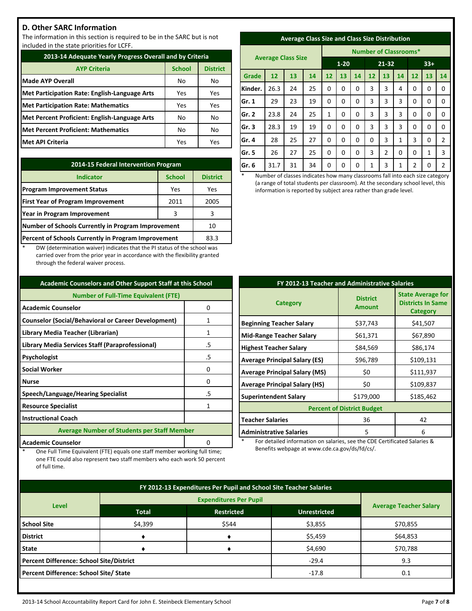# **D. Other SARC Information**

The information in this section is required to be in the SARC but is not included in the state priorities for LCFF.

| 2013-14 Adequate Yearly Progress Overall and by Criteria |               |                 |  |  |  |
|----------------------------------------------------------|---------------|-----------------|--|--|--|
| <b>AYP Criteria</b>                                      | <b>School</b> | <b>District</b> |  |  |  |
| <b>Made AYP Overall</b>                                  | No            | No              |  |  |  |
| <b>Met Participation Rate: English-Language Arts</b>     | Yes           | Yes             |  |  |  |
| <b>Met Participation Rate: Mathematics</b>               | Yes           | Yes             |  |  |  |
| Met Percent Proficient: English-Language Arts            | No            | No              |  |  |  |
| <b>Met Percent Proficient: Mathematics</b>               | No            | No              |  |  |  |
| <b>Met API Criteria</b>                                  | Yes           | Yes             |  |  |  |

| 2014-15 Federal Intervention Program                |                 |      |  |  |
|-----------------------------------------------------|-----------------|------|--|--|
| <b>Indicator</b>                                    | <b>District</b> |      |  |  |
| <b>Program Improvement Status</b>                   | Yes             | Yes  |  |  |
| <b>First Year of Program Improvement</b>            | 2011            | 2005 |  |  |
| Year in Program Improvement                         | 3               | 3    |  |  |
| Number of Schools Currently in Program Improvement  | 10              |      |  |  |
| Percent of Schools Currently in Program Improvement | 83.3            |      |  |  |

DW (determination waiver) indicates that the PI status of the school was carried over from the prior year in accordance with the flexibility granted through the federal waiver process.

| <b>Academic Counselors and Other Support Staff at this School</b> |    |  |  |  |
|-------------------------------------------------------------------|----|--|--|--|
| <b>Number of Full-Time Equivalent (FTE)</b>                       |    |  |  |  |
| <b>Academic Counselor</b><br>0                                    |    |  |  |  |
| <b>Counselor (Social/Behavioral or Career Development)</b>        | 1  |  |  |  |
| Library Media Teacher (Librarian)                                 | 1  |  |  |  |
| Library Media Services Staff (Paraprofessional)                   | .5 |  |  |  |
| Psychologist                                                      | .5 |  |  |  |
| <b>Social Worker</b>                                              | 0  |  |  |  |
| <b>Nurse</b>                                                      | n  |  |  |  |
| Speech/Language/Hearing Specialist                                | .5 |  |  |  |
| <b>Resource Specialist</b>                                        | 1  |  |  |  |
| <b>Instructional Coach</b>                                        |    |  |  |  |
| <b>Average Number of Students per Staff Member</b>                |    |  |  |  |
| <b>Academic Counselor</b>                                         |    |  |  |  |

One Full Time Equivalent (FTE) equals one staff member working full time; one FTE could also represent two staff members who each work 50 percent

of full time.

| <b>Average Class Size and Class Size Distribution</b> |  |  |
|-------------------------------------------------------|--|--|
|                                                       |  |  |

|         | <b>Average Class Size</b> |    |    |          | <b>Number of Classrooms*</b> |       |    |    |              |                |    |                |
|---------|---------------------------|----|----|----------|------------------------------|-------|----|----|--------------|----------------|----|----------------|
|         |                           |    |    | $1 - 20$ |                              | 21-32 |    |    | $33+$        |                |    |                |
| Grade   | 12                        | 13 | 14 | 12       | 13                           | 14    | 12 | 13 | 14           | 12             | 13 | 14             |
| Kinder. | 26.3                      | 24 | 25 | 0        | 0                            | 0     | 3  | 3  | 4            | 0              | 0  | 0              |
| Gr. 1   | 29                        | 23 | 19 | 0        | 0                            | 0     | 3  | 3  | 3            | 0              | 0  | $\Omega$       |
| lGr. 2  | 23.8                      | 24 | 25 | 1        | 0                            | 0     | 3  | 3  | 3            | 0              | 0  | $\mathbf 0$    |
| Gr. 3   | 28.3                      | 19 | 19 | 0        | $\Omega$                     | 0     | 3  | 3  | 3            | 0              | 0  | 0              |
| Gr. 4   | 28                        | 25 | 27 | 0        | 0                            | 0     | 0  | 3  | $\mathbf{1}$ | 3              | 0  | $\overline{2}$ |
| Gr. 5   | 26                        | 27 | 25 | 0        | 0                            | 0     | 3  | 2  | 0            | 0              | 1  | 3              |
| Gr. 6   | 31.7                      | 31 | 34 | 0        | 0                            | 0     | 1  | 3  | 1            | $\overline{2}$ | 0  | $\overline{2}$ |

Number of classes indicates how many classrooms fall into each size category (a range of total students per classroom). At the secondary school level, this information is reported by subject area rather than grade level.

| FY 2012-13 Teacher and Administrative Salaries |                                  |                                                                  |  |  |  |
|------------------------------------------------|----------------------------------|------------------------------------------------------------------|--|--|--|
| <b>Category</b>                                | <b>District</b><br><b>Amount</b> | <b>State Average for</b><br><b>Districts In Same</b><br>Category |  |  |  |
| <b>Beginning Teacher Salary</b>                | \$37,743                         | \$41,507                                                         |  |  |  |
| <b>Mid-Range Teacher Salary</b>                | \$61,371                         | \$67,890                                                         |  |  |  |
| <b>Highest Teacher Salary</b>                  | \$84,569                         | \$86,174                                                         |  |  |  |
| <b>Average Principal Salary (ES)</b>           | \$96,789                         | \$109,131                                                        |  |  |  |
| <b>Average Principal Salary (MS)</b>           | \$0                              | \$111,937                                                        |  |  |  |
| <b>Average Principal Salary (HS)</b>           | \$0                              | \$109,837                                                        |  |  |  |
| <b>Superintendent Salary</b>                   | \$179,000                        | \$185,462                                                        |  |  |  |
| <b>Percent of District Budget</b>              |                                  |                                                                  |  |  |  |
| <b>Teacher Salaries</b>                        | 36                               | 42                                                               |  |  |  |
| <b>Administrative Salaries</b>                 | 5                                | 6                                                                |  |  |  |

For detailed information on salaries, see the CDE Certificated Salaries & Benefits webpage at www.cde.ca.gov/ds/fd/cs/.

| FY 2012-13 Expenditures Per Pupil and School Site Teacher Salaries |              |                               |         |          |  |
|--------------------------------------------------------------------|--------------|-------------------------------|---------|----------|--|
|                                                                    |              |                               |         |          |  |
| <b>Level</b>                                                       | <b>Total</b> | <b>Average Teacher Salary</b> |         |          |  |
| <b>School Site</b>                                                 | \$4,399      | \$544                         | \$3,855 | \$70,855 |  |
| <b>District</b>                                                    |              |                               | \$5,459 | \$64,853 |  |
| <b>State</b>                                                       |              |                               | \$4,690 | \$70,788 |  |
| <b>Percent Difference: School Site/District</b>                    |              |                               | $-29.4$ | 9.3      |  |
| Percent Difference: School Site/ State                             |              |                               | $-17.8$ | 0.1      |  |